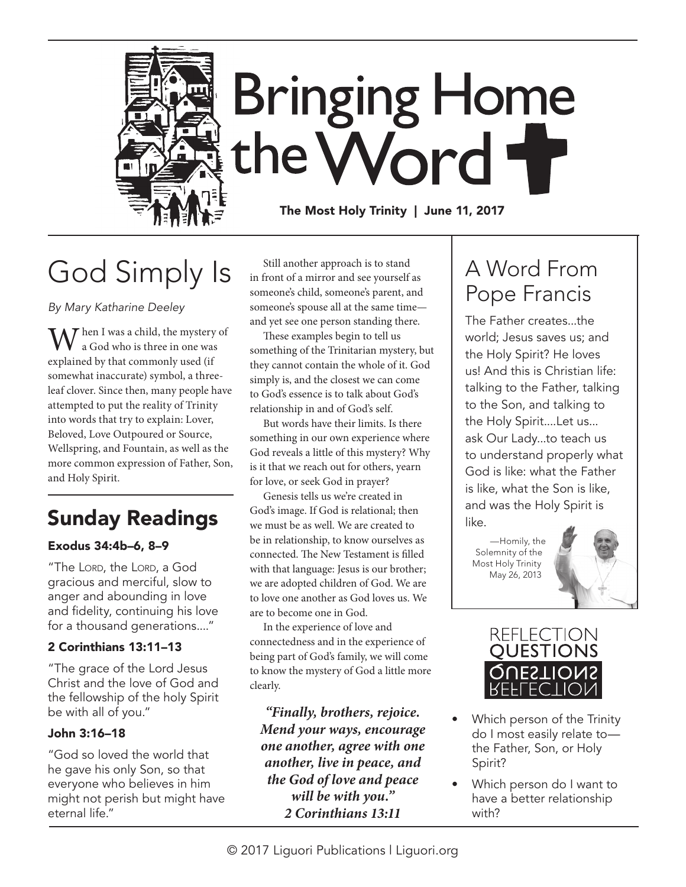

# God Simply Is

*By Mary Katharine Deeley*

 $\mathcal T$  hen I was a child, the mystery of a God who is three in one was explained by that commonly used (if somewhat inaccurate) symbol, a threeleaf clover. Since then, many people have attempted to put the reality of Trinity into words that try to explain: Lover, Beloved, Love Outpoured or Source, Wellspring, and Fountain, as well as the more common expression of Father, Son, and Holy Spirit.

# Sunday Readings

#### Exodus 34:4b–6, 8–9

"The Lord, the Lord, a God gracious and merciful, slow to anger and abounding in love and fidelity, continuing his love for a thousand generations...."

#### 2 Corinthians 13:11–13

"The grace of the Lord Jesus Christ and the love of God and the fellowship of the holy Spirit be with all of you."

#### John 3:16–18

"God so loved the world that he gave his only Son, so that everyone who believes in him might not perish but might have eternal life."

Still another approach is to stand in front of a mirror and see yourself as someone's child, someone's parent, and someone's spouse all at the same time and yet see one person standing there.

These examples begin to tell us something of the Trinitarian mystery, but they cannot contain the whole of it. God simply is, and the closest we can come to God's essence is to talk about God's relationship in and of God's self.

But words have their limits. Is there something in our own experience where God reveals a little of this mystery? Why is it that we reach out for others, yearn for love, or seek God in prayer?

Genesis tells us we're created in God's image. If God is relational; then we must be as well. We are created to be in relationship, to know ourselves as connected. The New Testament is filled with that language: Jesus is our brother; we are adopted children of God. We are to love one another as God loves us. We are to become one in God.

In the experience of love and connectedness and in the experience of being part of God's family, we will come to know the mystery of God a little more clearly.

*"Finally, brothers, rejoice. Mend your ways, encourage one another, agree with one another, live in peace, and the God of love and peace will be with you." 2 Corinthians 13:11*

# A Word From Pope Francis

The Father creates...the world; Jesus saves us; and the Holy Spirit? He loves us! And this is Christian life: talking to the Father, talking to the Son, and talking to the Holy Spirit....Let us... ask Our Lady...to teach us to understand properly what God is like: what the Father is like, what the Son is like, and was the Holy Spirit is like.

—Homily, the Solemnity of the Most Holy Trinity May 26, 2013





- Which person of the Trinity do I most easily relate to the Father, Son, or Holy Spirit?
- Which person do I want to have a better relationship with?